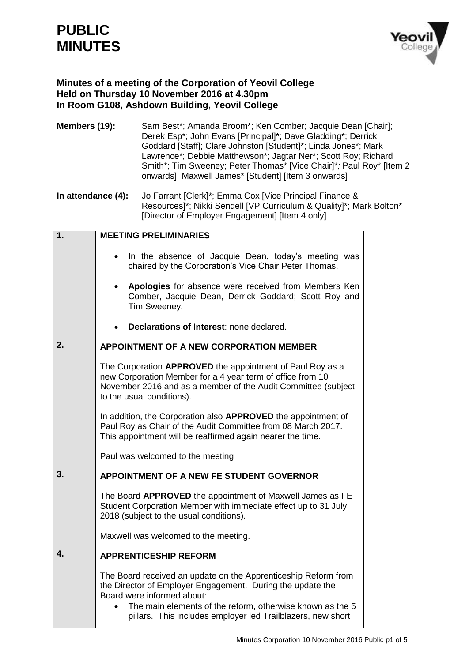# **PUBLIC MINUTES**



# **Minutes of a meeting of the Corporation of Yeovil College Held on Thursday 10 November 2016 at 4.30pm In Room G108, Ashdown Building, Yeovil College**

**Members (19):** Sam Best\*; Amanda Broom\*; Ken Comber; Jacquie Dean [Chair]; Derek Esp\*; John Evans [Principal]\*; Dave Gladding\*; Derrick Goddard [Staff]; Clare Johnston [Student]\*; Linda Jones\*; Mark Lawrence\*; Debbie Matthewson\*; Jagtar Ner\*; Scott Roy; Richard Smith\*; Tim Sweeney; Peter Thomas\* [Vice Chair]\**;* Paul Roy\* [Item 2 onwards]; Maxwell James\* [Student] [Item 3 onwards]

**In attendance (4):** Jo Farrant [Clerk]\*; Emma Cox [Vice Principal Finance & Resources]\*; Nikki Sendell [VP Curriculum & Quality]\*; Mark Bolton\* [Director of Employer Engagement] [Item 4 only]

| 1. | <b>MEETING PRELIMINARIES</b>                                                                                                                                                                                                                                                           |
|----|----------------------------------------------------------------------------------------------------------------------------------------------------------------------------------------------------------------------------------------------------------------------------------------|
|    | In the absence of Jacquie Dean, today's meeting was<br>chaired by the Corporation's Vice Chair Peter Thomas.                                                                                                                                                                           |
|    | Apologies for absence were received from Members Ken<br>Comber, Jacquie Dean, Derrick Goddard; Scott Roy and<br>Tim Sweeney.                                                                                                                                                           |
|    | Declarations of Interest: none declared.                                                                                                                                                                                                                                               |
| 2. | <b>APPOINTMENT OF A NEW CORPORATION MEMBER</b>                                                                                                                                                                                                                                         |
|    | The Corporation APPROVED the appointment of Paul Roy as a<br>new Corporation Member for a 4 year term of office from 10<br>November 2016 and as a member of the Audit Committee (subject<br>to the usual conditions).                                                                  |
|    | In addition, the Corporation also <b>APPROVED</b> the appointment of<br>Paul Roy as Chair of the Audit Committee from 08 March 2017.<br>This appointment will be reaffirmed again nearer the time.                                                                                     |
|    | Paul was welcomed to the meeting                                                                                                                                                                                                                                                       |
| 3. | <b>APPOINTMENT OF A NEW FE STUDENT GOVERNOR</b>                                                                                                                                                                                                                                        |
|    | The Board APPROVED the appointment of Maxwell James as FE<br>Student Corporation Member with immediate effect up to 31 July<br>2018 (subject to the usual conditions).                                                                                                                 |
|    | Maxwell was welcomed to the meeting.                                                                                                                                                                                                                                                   |
| 4. | <b>APPRENTICESHIP REFORM</b>                                                                                                                                                                                                                                                           |
|    | The Board received an update on the Apprenticeship Reform from<br>the Director of Employer Engagement. During the update the<br>Board were informed about:<br>The main elements of the reform, otherwise known as the 5<br>pillars. This includes employer led Trailblazers, new short |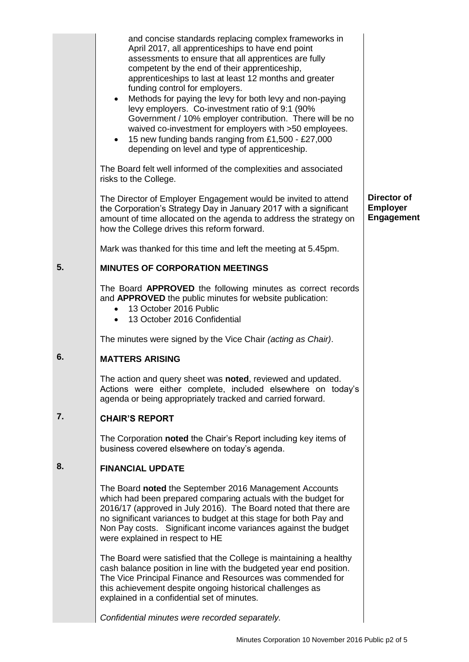|    | and concise standards replacing complex frameworks in<br>April 2017, all apprenticeships to have end point<br>assessments to ensure that all apprentices are fully<br>competent by the end of their apprenticeship,<br>apprenticeships to last at least 12 months and greater<br>funding control for employers.<br>Methods for paying the levy for both levy and non-paying<br>$\bullet$<br>levy employers. Co-investment ratio of 9:1 (90%<br>Government / 10% employer contribution. There will be no<br>waived co-investment for employers with >50 employees.<br>15 new funding bands ranging from £1,500 - £27,000<br>$\bullet$<br>depending on level and type of apprenticeship. |                                                            |
|----|----------------------------------------------------------------------------------------------------------------------------------------------------------------------------------------------------------------------------------------------------------------------------------------------------------------------------------------------------------------------------------------------------------------------------------------------------------------------------------------------------------------------------------------------------------------------------------------------------------------------------------------------------------------------------------------|------------------------------------------------------------|
|    | The Board felt well informed of the complexities and associated<br>risks to the College.                                                                                                                                                                                                                                                                                                                                                                                                                                                                                                                                                                                               |                                                            |
|    | The Director of Employer Engagement would be invited to attend<br>the Corporation's Strategy Day in January 2017 with a significant<br>amount of time allocated on the agenda to address the strategy on<br>how the College drives this reform forward.                                                                                                                                                                                                                                                                                                                                                                                                                                | <b>Director of</b><br><b>Employer</b><br><b>Engagement</b> |
|    | Mark was thanked for this time and left the meeting at 5.45pm.                                                                                                                                                                                                                                                                                                                                                                                                                                                                                                                                                                                                                         |                                                            |
| 5. | <b>MINUTES OF CORPORATION MEETINGS</b>                                                                                                                                                                                                                                                                                                                                                                                                                                                                                                                                                                                                                                                 |                                                            |
|    | The Board APPROVED the following minutes as correct records<br>and APPROVED the public minutes for website publication:<br>13 October 2016 Public<br>13 October 2016 Confidential                                                                                                                                                                                                                                                                                                                                                                                                                                                                                                      |                                                            |
|    | The minutes were signed by the Vice Chair (acting as Chair).                                                                                                                                                                                                                                                                                                                                                                                                                                                                                                                                                                                                                           |                                                            |
| 6. | <b>MATTERS ARISING</b>                                                                                                                                                                                                                                                                                                                                                                                                                                                                                                                                                                                                                                                                 |                                                            |
|    | The action and query sheet was noted, reviewed and updated.<br>Actions were either complete, included elsewhere on today's<br>agenda or being appropriately tracked and carried forward.                                                                                                                                                                                                                                                                                                                                                                                                                                                                                               |                                                            |
| 7. | <b>CHAIR'S REPORT</b>                                                                                                                                                                                                                                                                                                                                                                                                                                                                                                                                                                                                                                                                  |                                                            |
|    | The Corporation noted the Chair's Report including key items of<br>business covered elsewhere on today's agenda.                                                                                                                                                                                                                                                                                                                                                                                                                                                                                                                                                                       |                                                            |
| 8. | <b>FINANCIAL UPDATE</b>                                                                                                                                                                                                                                                                                                                                                                                                                                                                                                                                                                                                                                                                |                                                            |
|    | The Board noted the September 2016 Management Accounts<br>which had been prepared comparing actuals with the budget for<br>2016/17 (approved in July 2016). The Board noted that there are<br>no significant variances to budget at this stage for both Pay and<br>Non Pay costs. Significant income variances against the budget<br>were explained in respect to HE                                                                                                                                                                                                                                                                                                                   |                                                            |
|    | The Board were satisfied that the College is maintaining a healthy<br>cash balance position in line with the budgeted year end position.<br>The Vice Principal Finance and Resources was commended for<br>this achievement despite ongoing historical challenges as<br>explained in a confidential set of minutes.                                                                                                                                                                                                                                                                                                                                                                     |                                                            |
|    | Confidential minutes were recorded separately.                                                                                                                                                                                                                                                                                                                                                                                                                                                                                                                                                                                                                                         |                                                            |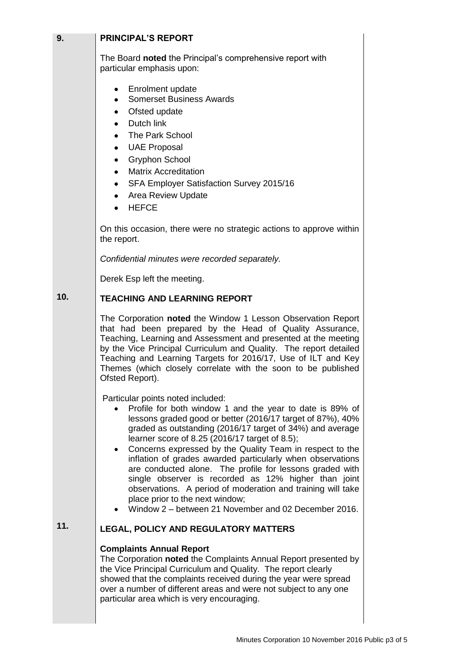| 9.  | <b>PRINCIPAL'S REPORT</b>                                                                                                                                                                                                                                                                                                                                                                                                                                                                                                                                                                                                                                                          |  |
|-----|------------------------------------------------------------------------------------------------------------------------------------------------------------------------------------------------------------------------------------------------------------------------------------------------------------------------------------------------------------------------------------------------------------------------------------------------------------------------------------------------------------------------------------------------------------------------------------------------------------------------------------------------------------------------------------|--|
|     | The Board noted the Principal's comprehensive report with<br>particular emphasis upon:                                                                                                                                                                                                                                                                                                                                                                                                                                                                                                                                                                                             |  |
|     | <b>Enrolment update</b><br>۰<br><b>Somerset Business Awards</b><br>٠<br>Ofsted update<br>٠<br>Dutch link<br>$\bullet$<br><b>The Park School</b><br><b>UAE Proposal</b><br>٠<br><b>Gryphon School</b><br>٠<br><b>Matrix Accreditation</b><br>$\bullet$<br>SFA Employer Satisfaction Survey 2015/16<br>٠<br><b>Area Review Update</b><br>٠<br><b>HEFCE</b>                                                                                                                                                                                                                                                                                                                           |  |
|     | On this occasion, there were no strategic actions to approve within<br>the report.                                                                                                                                                                                                                                                                                                                                                                                                                                                                                                                                                                                                 |  |
|     | Confidential minutes were recorded separately.                                                                                                                                                                                                                                                                                                                                                                                                                                                                                                                                                                                                                                     |  |
|     | Derek Esp left the meeting.                                                                                                                                                                                                                                                                                                                                                                                                                                                                                                                                                                                                                                                        |  |
| 10. | <b>TEACHING AND LEARNING REPORT</b>                                                                                                                                                                                                                                                                                                                                                                                                                                                                                                                                                                                                                                                |  |
|     | The Corporation noted the Window 1 Lesson Observation Report<br>that had been prepared by the Head of Quality Assurance,<br>Teaching, Learning and Assessment and presented at the meeting<br>by the Vice Principal Curriculum and Quality. The report detailed<br>Teaching and Learning Targets for 2016/17, Use of ILT and Key<br>Themes (which closely correlate with the soon to be published<br>Ofsted Report).                                                                                                                                                                                                                                                               |  |
|     | Particular points noted included:<br>Profile for both window 1 and the year to date is 89% of<br>lessons graded good or better (2016/17 target of 87%), 40%<br>graded as outstanding (2016/17 target of 34%) and average<br>learner score of 8.25 (2016/17 target of 8.5);<br>Concerns expressed by the Quality Team in respect to the<br>inflation of grades awarded particularly when observations<br>are conducted alone. The profile for lessons graded with<br>single observer is recorded as 12% higher than joint<br>observations. A period of moderation and training will take<br>place prior to the next window;<br>Window 2 – between 21 November and 02 December 2016. |  |
| 11. | <b>LEGAL, POLICY AND REGULATORY MATTERS</b>                                                                                                                                                                                                                                                                                                                                                                                                                                                                                                                                                                                                                                        |  |
|     | <b>Complaints Annual Report</b><br>The Corporation noted the Complaints Annual Report presented by<br>the Vice Principal Curriculum and Quality. The report clearly<br>showed that the complaints received during the year were spread<br>over a number of different areas and were not subject to any one<br>particular area which is very encouraging.                                                                                                                                                                                                                                                                                                                           |  |
|     |                                                                                                                                                                                                                                                                                                                                                                                                                                                                                                                                                                                                                                                                                    |  |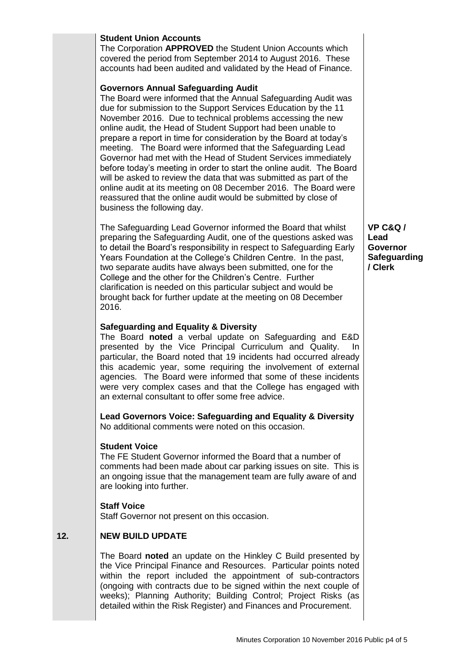## **Student Union Accounts**

The Corporation **APPROVED** the Student Union Accounts which covered the period from September 2014 to August 2016. These accounts had been audited and validated by the Head of Finance.

#### **Governors Annual Safeguarding Audit**

The Board were informed that the Annual Safeguarding Audit was due for submission to the Support Services Education by the 11 November 2016. Due to technical problems accessing the new online audit*,* the Head of Student Support had been unable to prepare a report in time for consideration by the Board at today's meeting. The Board were informed that the Safeguarding Lead Governor had met with the Head of Student Services immediately before today's meeting in order to start the online audit. The Board will be asked to review the data that was submitted as part of the online audit at its meeting on 08 December 2016. The Board were reassured that the online audit would be submitted by close of business the following day.

The Safeguarding Lead Governor informed the Board that whilst preparing the Safeguarding Audit, one of the questions asked was to detail the Board's responsibility in respect to Safeguarding Early Years Foundation at the College's Children Centre. In the past, two separate audits have always been submitted, one for the College and the other for the Children's Centre. Further clarification is needed on this particular subject and would be brought back for further update at the meeting on 08 December 2016.

# **Safeguarding and Equality & Diversity**

The Board **noted** a verbal update on Safeguarding and E&D presented by the Vice Principal Curriculum and Quality. In particular, the Board noted that 19 incidents had occurred already this academic year, some requiring the involvement of external agencies. The Board were informed that some of these incidents were very complex cases and that the College has engaged with an external consultant to offer some free advice.

**Lead Governors Voice: Safeguarding and Equality & Diversity** No additional comments were noted on this occasion.

### **Student Voice**

The FE Student Governor informed the Board that a number of comments had been made about car parking issues on site. This is an ongoing issue that the management team are fully aware of and are looking into further.

### **Staff Voice**

Staff Governor not present on this occasion.

#### **12. NEW BUILD UPDATE**

The Board **noted** an update on the Hinkley C Build presented by the Vice Principal Finance and Resources. Particular points noted within the report included the appointment of sub-contractors (ongoing with contracts due to be signed within the next couple of weeks); Planning Authority; Building Control; Project Risks (as detailed within the Risk Register) and Finances and Procurement.

**VP C&Q / Lead Governor Safeguarding / Clerk**